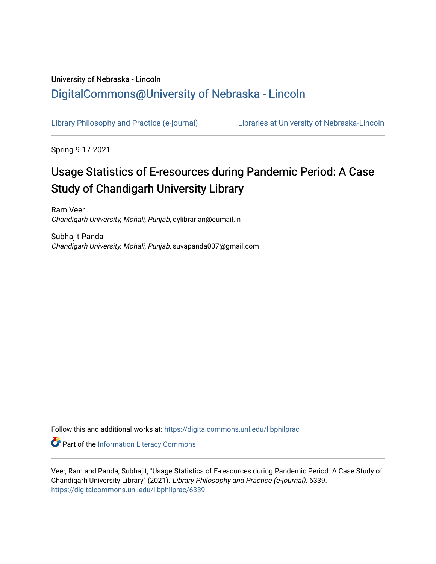## University of Nebraska - Lincoln [DigitalCommons@University of Nebraska - Lincoln](https://digitalcommons.unl.edu/)

[Library Philosophy and Practice \(e-journal\)](https://digitalcommons.unl.edu/libphilprac) [Libraries at University of Nebraska-Lincoln](https://digitalcommons.unl.edu/libraries) 

Spring 9-17-2021

# Usage Statistics of E-resources during Pandemic Period: A Case Study of Chandigarh University Library

Ram Veer Chandigarh University, Mohali, Punjab, dylibrarian@cumail.in

Subhajit Panda Chandigarh University, Mohali, Punjab, suvapanda007@gmail.com

Follow this and additional works at: [https://digitalcommons.unl.edu/libphilprac](https://digitalcommons.unl.edu/libphilprac?utm_source=digitalcommons.unl.edu%2Flibphilprac%2F6339&utm_medium=PDF&utm_campaign=PDFCoverPages) 

Part of the [Information Literacy Commons](http://network.bepress.com/hgg/discipline/1243?utm_source=digitalcommons.unl.edu%2Flibphilprac%2F6339&utm_medium=PDF&utm_campaign=PDFCoverPages)

Veer, Ram and Panda, Subhajit, "Usage Statistics of E-resources during Pandemic Period: A Case Study of Chandigarh University Library" (2021). Library Philosophy and Practice (e-journal). 6339. [https://digitalcommons.unl.edu/libphilprac/6339](https://digitalcommons.unl.edu/libphilprac/6339?utm_source=digitalcommons.unl.edu%2Flibphilprac%2F6339&utm_medium=PDF&utm_campaign=PDFCoverPages)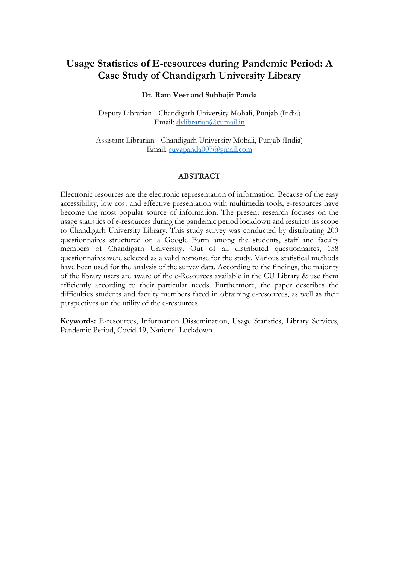## **Usage Statistics of E-resources during Pandemic Period: A Case Study of Chandigarh University Library**

#### **Dr. Ram Veer and Subhajit Panda**

Deputy Librarian - Chandigarh University Mohali, Punjab (India) Email: [dylibrarian@cumail.in](mailto:dylibrarian@cumail.in)

Assistant Librarian - Chandigarh University Mohali, Punjab (India) Email: [suvapanda007@gmail.com](mailto:subhajit.e9641@cumail.in)

#### **ABSTRACT**

Electronic resources are the electronic representation of information. Because of the easy accessibility, low cost and effective presentation with multimedia tools, e-resources have become the most popular source of information. The present research focuses on the usage statistics of e-resources during the pandemic period lockdown and restricts its scope to Chandigarh University Library. This study survey was conducted by distributing 200 questionnaires structured on a Google Form among the students, staff and faculty members of Chandigarh University. Out of all distributed questionnaires, 158 questionnaires were selected as a valid response for the study. Various statistical methods have been used for the analysis of the survey data. According to the findings, the majority of the library users are aware of the e-Resources available in the CU Library & use them efficiently according to their particular needs. Furthermore, the paper describes the difficulties students and faculty members faced in obtaining e-resources, as well as their perspectives on the utility of the e-resources.

**Keywords:** E-resources, Information Dissemination, Usage Statistics, Library Services, Pandemic Period, Covid-19, National Lockdown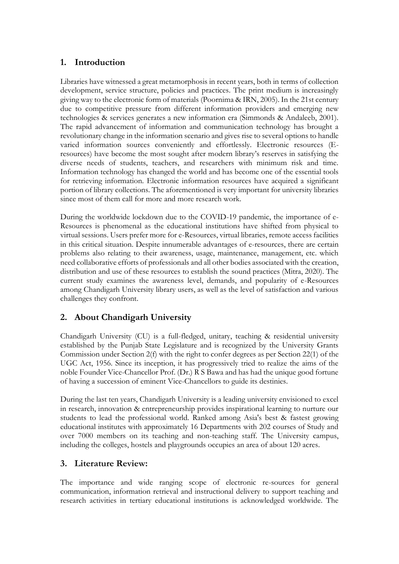## **1. Introduction**

Libraries have witnessed a great metamorphosis in recent years, both in terms of collection development, service structure, policies and practices. The print medium is increasingly giving way to the electronic form of materials (Poornima & IRN, 2005). In the 21st century due to competitive pressure from different information providers and emerging new technologies & services generates a new information era (Simmonds & Andaleeb, 2001). The rapid advancement of information and communication technology has brought a revolutionary change in the information scenario and gives rise to several options to handle varied information sources conveniently and effortlessly. Electronic resources (Eresources) have become the most sought after modern library's reserves in satisfying the diverse needs of students, teachers, and researchers with minimum risk and time. Information technology has changed the world and has become one of the essential tools for retrieving information. Electronic information resources have acquired a significant portion of library collections. The aforementioned is very important for university libraries since most of them call for more and more research work.

During the worldwide lockdown due to the COVID-19 pandemic, the importance of e-Resources is phenomenal as the educational institutions have shifted from physical to virtual sessions. Users prefer more for e-Resources, virtual libraries, remote access facilities in this critical situation. Despite innumerable advantages of e-resources, there are certain problems also relating to their awareness, usage, maintenance, management, etc. which need collaborative efforts of professionals and all other bodies associated with the creation, distribution and use of these resources to establish the sound practices (Mitra, 2020). The current study examines the awareness level, demands, and popularity of e-Resources among Chandigarh University library users, as well as the level of satisfaction and various challenges they confront.

## **2. About Chandigarh University**

Chandigarh University (CU) is a full-fledged, unitary, teaching & residential university established by the Punjab State Legislature and is recognized by the University Grants Commission under Section 2(f) with the right to confer degrees as per Section 22(1) of the UGC Act, 1956. Since its inception, it has progressively tried to realize the aims of the noble Founder Vice-Chancellor Prof. (Dr.) R S Bawa and has had the unique good fortune of having a succession of eminent Vice-Chancellors to guide its destinies.

During the last ten years, Chandigarh University is a leading university envisioned to excel in research, innovation & entrepreneurship provides inspirational learning to nurture our students to lead the professional world. Ranked among Asia's best & fastest growing educational institutes with approximately 16 Departments with 202 courses of Study and over 7000 members on its teaching and non-teaching staff. The University campus, including the colleges, hostels and playgrounds occupies an area of about 120 acres.

## **3. Literature Review:**

The importance and wide ranging scope of electronic re-sources for general communication, information retrieval and instructional delivery to support teaching and research activities in tertiary educational institutions is acknowledged worldwide. The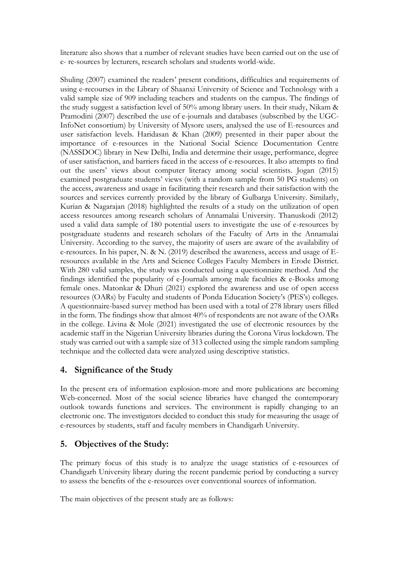literature also shows that a number of relevant studies have been carried out on the use of e- re-sources by lecturers, research scholars and students world-wide.

Shuling (2007) examined the readers' present conditions, difficulties and requirements of using e-recourses in the Library of Shaanxi University of Science and Technology with a valid sample size of 909 including teachers and students on the campus. The findings of the study suggest a satisfaction level of 50% among library users. In their study, Nikam & Pramodini (2007) described the use of e-journals and databases (subscribed by the UGC-InfoNet consortium) by University of Mysore users, analysed the use of E-resources and user satisfaction levels. Haridasan & Khan (2009) presented in their paper about the importance of e-resources in the National Social Science Documentation Centre (NASSDOC) library in New Delhi, India and determine their usage, performance, degree of user satisfaction, and barriers faced in the access of e-resources. It also attempts to find out the users' views about computer literacy among social scientists. Jogan (2015) examined postgraduate students' views (with a random sample from 50 PG students) on the access, awareness and usage in facilitating their research and their satisfaction with the sources and services currently provided by the library of Gulbarga University. Similarly, Kurian & Nagarajan (2018) highlighted the results of a study on the utilization of open access resources among research scholars of Annamalai University. Thanuskodi (2012) used a valid data sample of 180 potential users to investigate the use of e-resources by postgraduate students and research scholars of the Faculty of Arts in the Annamalai University. According to the survey, the majority of users are aware of the availability of e-resources. In his paper, N. & N. (2019) described the awareness, access and usage of Eresources available in the Arts and Science Colleges Faculty Members in Erode District. With 280 valid samples, the study was conducted using a questionnaire method. And the findings identified the popularity of e-Journals among male faculties & e-Books among female ones. Matonkar & Dhuri (2021) explored the awareness and use of open access resources (OARs) by Faculty and students of Ponda Education Society's (PES's) colleges. A questionnaire-based survey method has been used with a total of 278 library users filled in the form. The findings show that almost 40% of respondents are not aware of the OARs in the college. Livina & Mole (2021) investigated the use of electronic resources by the academic staff in the Nigerian University libraries during the Corona Virus lockdown. The study was carried out with a sample size of 313 collected using the simple random sampling technique and the collected data were analyzed using descriptive statistics.

## **4. Significance of the Study**

In the present era of information explosion-more and more publications are becoming Web-concerned. Most of the social science libraries have changed the contemporary outlook towards functions and services. The environment is rapidly changing to an electronic one. The investigators decided to conduct this study for measuring the usage of e-resources by students, staff and faculty members in Chandigarh University.

## **5. Objectives of the Study:**

The primary focus of this study is to analyze the usage statistics of e-resources of Chandigarh University library during the recent pandemic period by conducting a survey to assess the benefits of the e-resources over conventional sources of information.

The main objectives of the present study are as follows: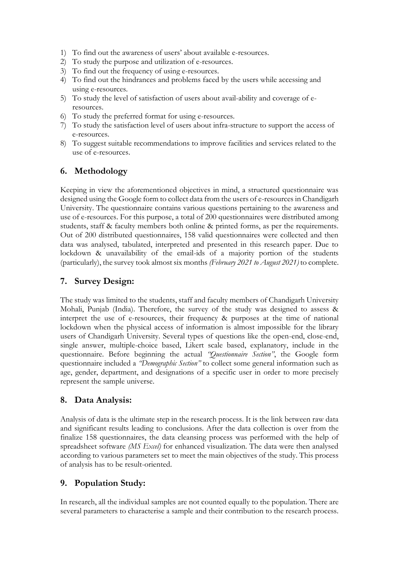- 1) To find out the awareness of users' about available e-resources.
- 2) To study the purpose and utilization of e-resources.
- 3) To find out the frequency of using e-resources.
- 4) To find out the hindrances and problems faced by the users while accessing and using e-resources.
- 5) To study the level of satisfaction of users about avail-ability and coverage of eresources.
- 6) To study the preferred format for using e-resources.
- 7) To study the satisfaction level of users about infra-structure to support the access of e-resources.
- 8) To suggest suitable recommendations to improve facilities and services related to the use of e-resources.

## **6. Methodology**

Keeping in view the aforementioned objectives in mind, a structured questionnaire was designed using the Google form to collect data from the users of e-resources in Chandigarh University. The questionnaire contains various questions pertaining to the awareness and use of e-resources. For this purpose, a total of 200 questionnaires were distributed among students, staff & faculty members both online & printed forms, as per the requirements. Out of 200 distributed questionnaires, 158 valid questionnaires were collected and then data was analysed, tabulated, interpreted and presented in this research paper. Due to lockdown & unavailability of the email-ids of a majority portion of the students (particularly), the survey took almost six months *(February 2021 to August 2021)* to complete.

## **7. Survey Design:**

The study was limited to the students, staff and faculty members of Chandigarh University Mohali, Punjab (India). Therefore, the survey of the study was designed to assess & interpret the use of e-resources, their frequency & purposes at the time of national lockdown when the physical access of information is almost impossible for the library users of Chandigarh University. Several types of questions like the open-end, close-end, single answer, multiple-choice based, Likert scale based, explanatory, include in the questionnaire. Before beginning the actual *"Questionnaire Section"*, the Google form questionnaire included a *"Demographic Section"* to collect some general information such as age, gender, department, and designations of a specific user in order to more precisely represent the sample universe.

## **8. Data Analysis:**

Analysis of data is the ultimate step in the research process. It is the link between raw data and significant results leading to conclusions. After the data collection is over from the finalize 158 questionnaires, the data cleansing process was performed with the help of spreadsheet software *(MS Excel)* for enhanced visualization. The data were then analysed according to various parameters set to meet the main objectives of the study. This process of analysis has to be result-oriented.

## **9. Population Study:**

In research, all the individual samples are not counted equally to the population. There are several parameters to characterise a sample and their contribution to the research process.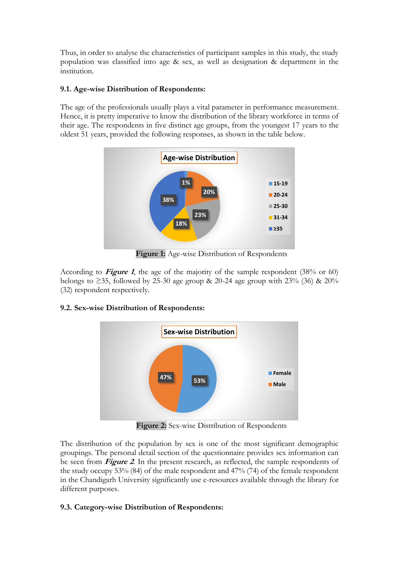Thus, in order to analyse the characteristics of participant samples in this study, the study population was classified into age & sex, as well as designation & department in the institution.

### **9.1. Age-wise Distribution of Respondents:**

The age of the professionals usually plays a vital parameter in performance measurement. Hence, it is pretty imperative to know the distribution of the library workforce in terms of their age. The respondents in five distinct age groups, from the youngest 17 years to the oldest 51 years, provided the following responses, as shown in the table below.



**Figure 1:** Age-wise Distribution of Respondents

According to **Figure 1**, the age of the majority of the sample respondent (38% or 60) belongs to  $\geq$ 35, followed by 25-30 age group & 20-24 age group with 23% (36) & 20% (32) respondent respectively.

## **9.2. Sex-wise Distribution of Respondents:**



**Figure 2:** Sex-wise Distribution of Respondents

The distribution of the population by sex is one of the most significant demographic groupings. The personal detail section of the questionnaire provides sex information can be seen from **Figure 2**. In the present research, as reflected, the sample respondents of the study occupy 53% (84) of the male respondent and 47% (74) of the female respondent in the Chandigarh University significantly use e-resources available through the library for different purposes.

## **9.3. Category-wise Distribution of Respondents:**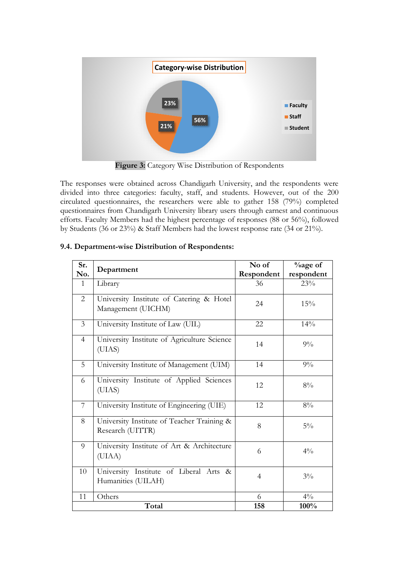

**Figure 3:** Category Wise Distribution of Respondents

The responses were obtained across Chandigarh University, and the respondents were divided into three categories: faculty, staff, and students. However, out of the 200 circulated questionnaires, the researchers were able to gather 158 (79%) completed questionnaires from Chandigarh University library users through earnest and continuous efforts. Faculty Members had the highest percentage of responses (88 or 56%), followed by Students (36 or 23%) & Staff Members had the lowest response rate (34 or 21%).

| Sr.            | Department                                                     | No of          | $\%$ age of |
|----------------|----------------------------------------------------------------|----------------|-------------|
| No.            |                                                                | Respondent     | respondent  |
| $\mathbf{1}$   | Library                                                        | 36             | 23%         |
| $\overline{2}$ | University Institute of Catering & Hotel<br>Management (UICHM) | 24             | 15%         |
| $\overline{3}$ | University Institute of Law (UIL)                              | 22             | 14%         |
| $\overline{4}$ | University Institute of Agriculture Science<br>(UIAS)          | 14             | $9\%$       |
| 5              | University Institute of Management (UIM)                       | 14             | $9\%$       |
| 6              | University Institute of Applied Sciences<br>(UIAS)             | 12             | $8\%$       |
| 7              | University Institute of Engineering (UIE)                      | 12             | $8\%$       |
| 8              | University Institute of Teacher Training &<br>Research (UITTR) | 8              | $5\%$       |
| 9              | University Institute of Art & Architecture<br>(UIAA)           | 6              | $4\%$       |
| 10             | University Institute of Liberal Arts &<br>Humanities (UILAH)   | $\overline{4}$ | $3\%$       |
| 11             | Others                                                         | 6              | $4\%$       |
|                | Total                                                          | 158            | 100%        |

#### **9.4. Department-wise Distribution of Respondents:**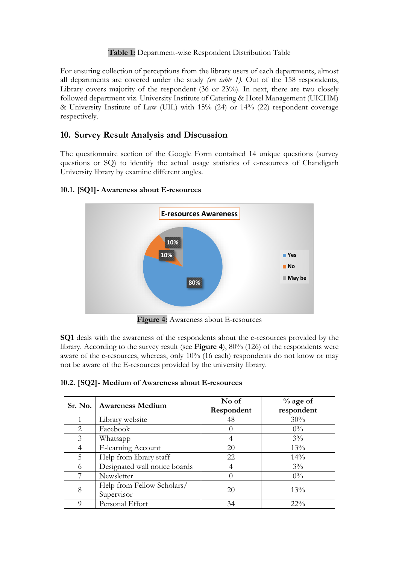### **Table 1:** Department-wise Respondent Distribution Table

For ensuring collection of perceptions from the library users of each departments, almost all departments are covered under the study *(see table 1)*. Out of the 158 respondents, Library covers majority of the respondent (36 or 23%). In next, there are two closely followed department viz. University Institute of Catering & Hotel Management (UICHM) & University Institute of Law (UIL) with 15% (24) or 14% (22) respondent coverage respectively.

## **10. Survey Result Analysis and Discussion**

The questionnaire section of the Google Form contained 14 unique questions (survey questions or SQ) to identify the actual usage statistics of e-resources of Chandigarh University library by examine different angles.

#### **10.1. [SQ1]- Awareness about E-resources**



**Figure 4:** Awareness about E-resources

**SQ1** deals with the awareness of the respondents about the e-resources provided by the library. According to the survey result (see **Figure 4**), 80% (126) of the respondents were aware of the e-resources, whereas, only 10% (16 each) respondents do not know or may not be aware of the E-resources provided by the university library.

|  | 10.2. [SQ2]- Medium of Awareness about E-resources |  |
|--|----------------------------------------------------|--|
|  |                                                    |  |

|               | Sr. No.   Awareness Medium               | No of<br>Respondent | $%$ age of<br>respondent |
|---------------|------------------------------------------|---------------------|--------------------------|
|               | Library website                          | 48                  | 30%                      |
| $\mathcal{L}$ | Facebook                                 | $\left( \right)$    | $0\%$                    |
| 3             | Whatsapp                                 | 4                   | $3\%$                    |
| 4             | E-learning Account                       | 20                  | 13%                      |
| 5             | Help from library staff                  | 22                  | 14%                      |
| 6             | Designated wall notice boards            | 4                   | $3\%$                    |
| 7             | Newsletter                               | $\left( \right)$    | $0\%$                    |
| 8             | Help from Fellow Scholars/<br>Supervisor | 20                  | 13%                      |
| Q             | Personal Effort                          | 34                  | $22\%$                   |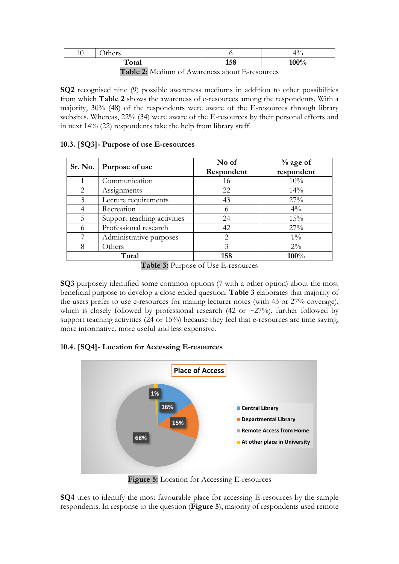| 10 | here<br>uiud |     | $\hat{ }$<br>ΊU<br>′0 |
|----|--------------|-----|-----------------------|
|    | Total        | 158 | $100\%$<br>70         |

**Table 2:** Medium of Awareness about E-resources

**SQ2** recognised nine (9) possible awareness mediums in addition to other possibilities from which **Table 2** shows the awareness of e-resources among the respondents. With a majority, 30% (48) of the respondents were aware of the E-resources through library websites. Whereas, 22% (34) were aware of the E-resources by their personal efforts and in next 14% (22) respondents take the help from library staff.

#### **10.3. [SQ3]- Purpose of use E-resources**

|                             | Sr. No.   Purpose of use    | No of<br>Respondent | $%$ age of<br>respondent |
|-----------------------------|-----------------------------|---------------------|--------------------------|
|                             | Communication               | 16                  | 10%                      |
| $\mathcal{D}_{\mathcal{L}}$ | Assignments                 | 22                  | 14%                      |
| 3                           | Lecture requirements        | 43                  | 27%                      |
| 4                           | Recreation                  |                     | $4\%$                    |
| 5                           | Support teaching activities | 24                  | 15%                      |
| 6                           | Professional research       | 42                  | 27%                      |
|                             | Administrative purposes     | 2                   | $1\%$                    |
| 8                           | Others                      | 3                   | $2\%$                    |
|                             | Total                       | 158                 | 100%                     |

**Table 3:** Purpose of Use E-resources

**SQ3** purposely identified some common options (7 with a other option) about the most beneficial purpose to develop a close ended question. **Table 3** elaborates that majority of the users prefer to use e-resources for making lecturer notes (with 43 or 27% coverage), which is closely followed by professional research (42 or  $\sim$ 27%), further followed by support teaching activities (24 or 15%) because they feel that e-resources are time saving, more informative, more useful and less expensive.

#### **10.4. [SQ4]- Location for Accessing E-resources**



**Figure 5:** Location for Accessing E-resources

**SQ4** tries to identify the most favourable place for accessing E-resources by the sample respondents. In response to the question (**Figure 5**), majority of respondents used remote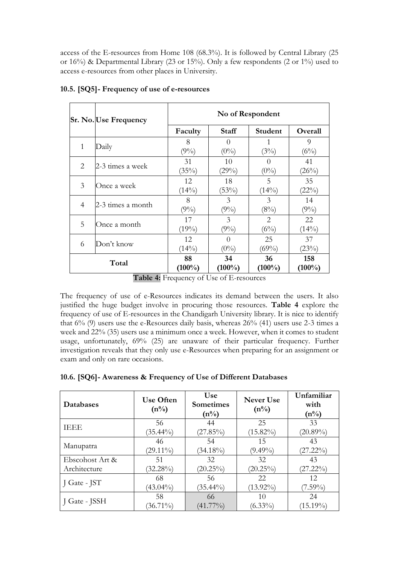access of the E-resources from Home 108 (68.3%). It is followed by Central Library (25 or 16%) & Departmental Library (23 or 15%). Only a few respondents (2 or 1%) used to access e-resources from other places in University.

|                                                                |  | Sr. No. Use Frequency | No of Respondent |                     |                     |                |
|----------------------------------------------------------------|--|-----------------------|------------------|---------------------|---------------------|----------------|
|                                                                |  |                       | Faculty          | <b>Staff</b>        | <b>Student</b>      | Overall        |
| 1                                                              |  | Daily                 | 8<br>$(9\%)$     | $\theta$<br>$(0\%)$ | (3%)                | 9<br>$(6\%)$   |
| 2                                                              |  | 2-3 times a week      | 31<br>(35%)      | 10<br>(29%)         | $\theta$<br>$(0\%)$ | 41<br>(26%)    |
| 3                                                              |  | Once a week           | 12<br>$(14\%)$   | 18<br>(53%)         | 5<br>$(14\%)$       | 35<br>(22%)    |
| 4                                                              |  | 2-3 times a month     | 8<br>$(9\%)$     | 3<br>$(9\%)$        | 3<br>(8%)           | 14<br>$(9\%)$  |
| 5                                                              |  | Once a month          | 17<br>(19%)      | 3<br>$(9\%)$        | 2<br>$(6\%)$        | 22<br>$(14\%)$ |
| 6                                                              |  | Don't know            | 12<br>$(14\%)$   | $\theta$<br>$(0\%)$ | 25<br>$(69\%)$      | 37<br>(23%)    |
| 88<br>34<br>36<br>Total<br>$(100\%)$<br>$(100\%)$<br>$(100\%)$ |  |                       |                  | 158<br>$(100\%)$    |                     |                |

#### **10.5. [SQ5]- Frequency of use of e-resources**

**Table 4:** Frequency of Use of E-resources

The frequency of use of e-Resources indicates its demand between the users. It also justified the huge budget involve in procuring those resources. **Table 4** explore the frequency of use of E-resources in the Chandigarh University library. It is nice to identify that  $6\%$  (9) users use the e-Resources daily basis, whereas  $26\%$  (41) users use 2-3 times a week and 22% (35) users use a minimum once a week. However, when it comes to student usage, unfortunately, 69% (25) are unaware of their particular frequency. Further investigation reveals that they only use e-Resources when preparing for an assignment or exam and only on rare occasions.

|  |  | 10.6. [SQ6]- Awareness & Frequency of Use of Different Databases |  |  |  |  |  |
|--|--|------------------------------------------------------------------|--|--|--|--|--|
|--|--|------------------------------------------------------------------|--|--|--|--|--|

| Databases       | <b>Use Often</b><br>$(n\%)$ | <b>Use</b><br><b>Sometimes</b><br>$(n\%)$ | Never Use<br>$(n\%)$ | Unfamiliar<br>with<br>$(n\%)$ |
|-----------------|-----------------------------|-------------------------------------------|----------------------|-------------------------------|
| IEEE            | 56                          | 44                                        | 25                   | 33                            |
|                 | $(35.44\%)$                 | $(27.85\%)$                               | $(15.82\%)$          | $(20.89\%)$                   |
| Manupatra       | 46                          | 54                                        | 15                   | 43                            |
|                 | $(29.11\%)$                 | $(34.18\%)$                               | $(9.49\%)$           | $(27.22\%)$                   |
| Ebscohost Art & | 51                          | 32                                        | 32                   | 43                            |
| Architecture    | $(32.28\%)$                 | $(20.25\%)$                               | $(20.25\%)$          | $(27.22\%)$                   |
| J Gate - JST    | 68                          | 56                                        | 22                   | 12                            |
|                 | $(43.04\%)$                 | $(35.44\%)$                               | $(13.92\%)$          | $(7.59\%)$                    |
| J Gate - JSSH   | 58                          | 66                                        | 10                   | 24                            |
|                 | $(36.71\%)$                 | $(41.77\%)$                               | $(6.33\%)$           | $(15.19\%)$                   |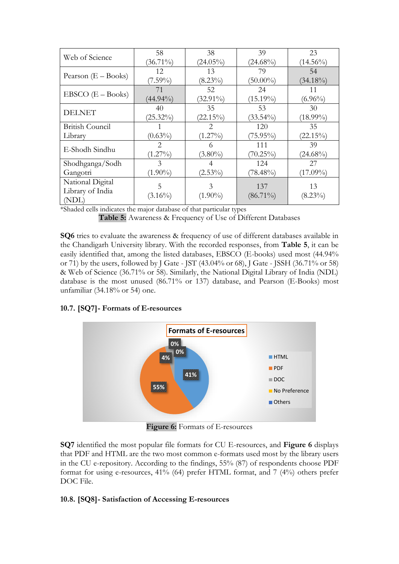| Web of Science        | 58            | 38            | 39          | 23          |
|-----------------------|---------------|---------------|-------------|-------------|
|                       | $(36.71\%)$   | $(24.05\%)$   | $(24.68\%)$ | $(14.56\%)$ |
|                       | 12            | 13            | 79          | 54          |
| Pearson $(E - Books)$ | $(7.59\%)$    | $(8.23\%)$    | $(50.00\%)$ | $(34.18\%)$ |
| $EBSCO$ $(E - Books)$ | 71            | 52            | 24          | 11          |
|                       | $(44.94\%)$   | $(32.91\%)$   | $(15.19\%)$ | $(6.96\%)$  |
| <b>DELNET</b>         | 40            | 35            | 53          | 30          |
|                       | $(25.32\%)$   | $(22.15\%)$   | $(33.54\%)$ | $(18.99\%)$ |
| British Council       |               | $\mathcal{L}$ | 120         | 35          |
| Library               | $(0.63\%)$    | $(1.27\%)$    | $(75.95\%)$ | $(22.15\%)$ |
| E-Shodh Sindhu        | $\mathcal{P}$ | 6             | 111         | 39          |
|                       | $(1.27\%)$    | $(3.80\%)$    | $(70.25\%)$ | $(24.68\%)$ |
| Shodhganga/Sodh       | $\mathcal{E}$ |               | 124         | 27          |
| Gangotri              | $(1.90\%)$    | $(2.53\%)$    | $(78.48\%)$ | $(17.09\%)$ |
| National Digital      | 5             | 3             | 137         | 13          |
| Library of India      |               |               |             |             |
| (NDL)                 | $(3.16\%)$    | $(1.90\%)$    | $(86.71\%)$ | $(8.23\%)$  |

\*Shaded cells indicates the major database of that particular types

**Table 5:** Awareness & Frequency of Use of Different Databases

**SQ6** tries to evaluate the awareness & frequency of use of different databases available in the Chandigarh University library. With the recorded responses, from **Table 5**, it can be easily identified that, among the listed databases, EBSCO (E-books) used most (44.94% or 71) by the users, followed by J Gate - JST (43.04% or 68), J Gate - JSSH (36.71% or 58) & Web of Science (36.71% or 58). Similarly, the National Digital Library of India (NDL) database is the most unused (86.71% or 137) database, and Pearson (E-Books) most unfamiliar (34.18% or 54) one.

#### **10.7. [SQ7]- Formats of E-resources**



**Figure 6:** Formats of E-resources

**SQ7** identified the most popular file formats for CU E-resources, and **Figure 6** displays that PDF and HTML are the two most common e-formats used most by the library users in the CU e-repository. According to the findings, 55% (87) of respondents choose PDF format for using e-resources, 41% (64) prefer HTML format, and 7 (4%) others prefer DOC File.

#### **10.8. [SQ8]- Satisfaction of Accessing E-resources**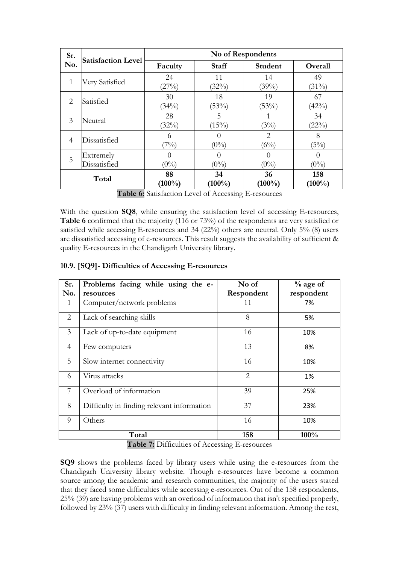| Sr.            | <b>Satisfaction Level</b> | No of Respondents |                             |                 |                     |
|----------------|---------------------------|-------------------|-----------------------------|-----------------|---------------------|
| No.            |                           | Faculty           | <b>Staff</b>                | Student         | Overall             |
| 1              | Very Satisfied            | 24<br>(27%)       | 11<br>(32%)                 | 14<br>(39%)     | 49<br>$(31\%)$      |
| 2              | Satisfied                 | 30<br>(34%)       | 18<br>(53%)                 | 19<br>(53%)     | 67<br>(42%)         |
| 3              | Neutral                   | 28<br>(32%)       | 5<br>(15%)                  | (3%)            | 34<br>(22%)         |
| $\overline{4}$ | Dissatisfied              | 6<br>(7%)         | $\left( \right)$<br>$(0\%)$ | 2<br>(6%)       | 8<br>(5%)           |
| 5              | Extremely<br>Dissatisfied | $(0\%)$           | $\left( \right)$<br>$(0\%)$ | $(0\%)$         | $\theta$<br>$(0\%)$ |
|                | Total                     | 88<br>$(100\%)$   | 34<br>$(100\%)$             | 36<br>$(100\%)$ | 158<br>$(100\%)$    |

**Table 6:** Satisfaction Level of Accessing E-resources

With the question **SQ8**, while ensuring the satisfaction level of accessing E-resources, **Table 6** confirmed that the majority (116 or 73%) of the respondents are very satisfied or satisfied while accessing E-resources and 34 (22%) others are neutral. Only 5% (8) users are dissatisfied accessing of e-resources. This result suggests the availability of sufficient & quality E-resources in the Chandigarh University library.

#### **10.9. [SQ9]- Difficulties of Accessing E-resources**

| Sr.            | Problems facing while using the e-         | No of      | $%$ age of |
|----------------|--------------------------------------------|------------|------------|
| No.            | resources                                  | Respondent | respondent |
| 1              | Computer/network problems                  | 11         | 7%         |
| 2              | Lack of searching skills                   | 8          | 5%         |
| 3              | Lack of up-to-date equipment               | 16         | 10%        |
| $\overline{4}$ | Few computers                              | 13         | 8%         |
| 5              | Slow internet connectivity                 | 16         | 10%        |
| 6              | Virus attacks                              | 2          | 1%         |
| 7              | Overload of information                    | 39         | 25%        |
| 8              | Difficulty in finding relevant information | 37         | 23%        |
| 9              | Others                                     | 16         | 10%        |
|                | Total                                      | 158        | 100%       |

**Table 7:** Difficulties of Accessing E-resources

**SQ9** shows the problems faced by library users while using the e-resources from the Chandigarh University library website. Though e-resources have become a common source among the academic and research communities, the majority of the users stated that they faced some difficulties while accessing e-resources. Out of the 158 respondents, 25% (39) are having problems with an overload of information that isn't specified properly, followed by 23% (37) users with difficulty in finding relevant information. Among the rest,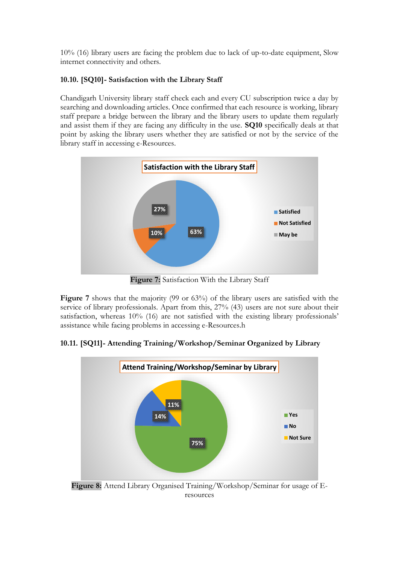10% (16) library users are facing the problem due to lack of up-to-date equipment, Slow internet connectivity and others.

#### **10.10. [SQ10]- Satisfaction with the Library Staff**

Chandigarh University library staff check each and every CU subscription twice a day by searching and downloading articles. Once confirmed that each resource is working, library staff prepare a bridge between the library and the library users to update them regularly and assist them if they are facing any difficulty in the use. **SQ10** specifically deals at that point by asking the library users whether they are satisfied or not by the service of the library staff in accessing e-Resources.



**Figure 7:** Satisfaction With the Library Staff

Figure 7 shows that the majority (99 or 63%) of the library users are satisfied with the service of library professionals. Apart from this, 27% (43) users are not sure about their satisfaction, whereas 10% (16) are not satisfied with the existing library professionals' assistance while facing problems in accessing e-Resources.h

**10.11. [SQ11]- Attending Training/Workshop/Seminar Organized by Library**



**Figure 8:** Attend Library Organised Training/Workshop/Seminar for usage of Eresources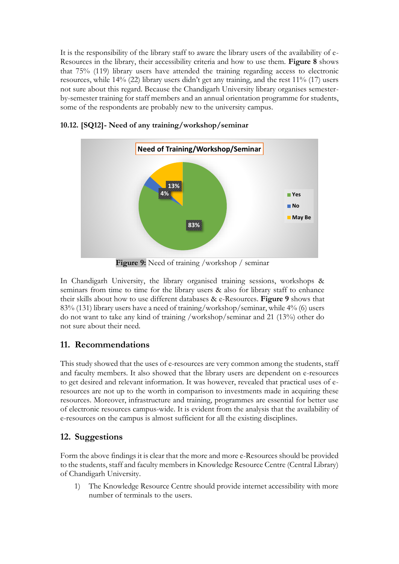It is the responsibility of the library staff to aware the library users of the availability of e-Resources in the library, their accessibility criteria and how to use them. **Figure 8** shows that 75% (119) library users have attended the training regarding access to electronic resources, while 14% (22) library users didn't get any training, and the rest 11% (17) users not sure about this regard. Because the Chandigarh University library organises semesterby-semester training for staff members and an annual orientation programme for students, some of the respondents are probably new to the university campus.



**10.12. [SQ12]- Need of any training/workshop/seminar**

**Figure 9:** Need of training /workshop / seminar

In Chandigarh University, the library organised training sessions, workshops & seminars from time to time for the library users & also for library staff to enhance their skills about how to use different databases & e-Resources. **Figure 9** shows that 83% (131) library users have a need of training/workshop/seminar, while 4% (6) users do not want to take any kind of training /workshop/seminar and 21 (13%) other do not sure about their need.

## **11. Recommendations**

This study showed that the uses of e-resources are very common among the students, staff and faculty members. It also showed that the library users are dependent on e-resources to get desired and relevant information. It was however, revealed that practical uses of eresources are not up to the worth in comparison to investments made in acquiring these resources. Moreover, infrastructure and training, programmes are essential for better use of electronic resources campus-wide. It is evident from the analysis that the availability of e-resources on the campus is almost sufficient for all the existing disciplines.

## **12. Suggestions**

Form the above findings it is clear that the more and more e-Resources should be provided to the students, staff and faculty members in Knowledge Resource Centre (Central Library) of Chandigarh University.

1) The Knowledge Resource Centre should provide internet accessibility with more number of terminals to the users.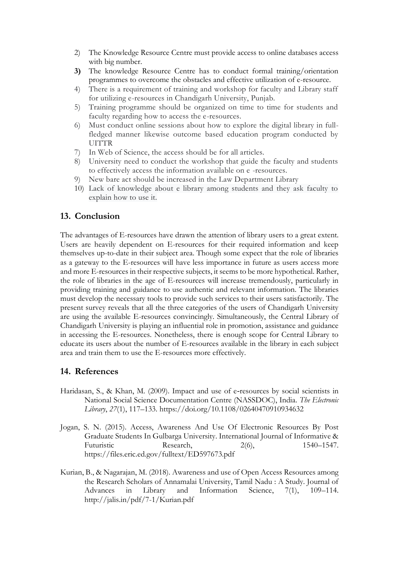- 2) The Knowledge Resource Centre must provide access to online databases access with big number.
- **3)** The knowledge Resource Centre has to conduct formal training/orientation programmes to overcome the obstacles and effective utilization of e-resource.
- 4) There is a requirement of training and workshop for faculty and Library staff for utilizing e-resources in Chandigarh University, Punjab.
- 5) Training programme should be organized on time to time for students and faculty regarding how to access the e-resources.
- 6) Must conduct online sessions about how to explore the digital library in fullfledged manner likewise outcome based education program conducted by UITTR
- 7) In Web of Science, the access should be for all articles.
- 8) University need to conduct the workshop that guide the faculty and students to effectively access the information available on e -resources.
- 9) New bare act should be increased in the Law Department Library
- 10) Lack of knowledge about e library among students and they ask faculty to explain how to use it.

#### **13. Conclusion**

The advantages of E-resources have drawn the attention of library users to a great extent. Users are heavily dependent on E-resources for their required information and keep themselves up-to-date in their subject area. Though some expect that the role of libraries as a gateway to the E-resources will have less importance in future as users access more and more E-resources in their respective subjects, it seems to be more hypothetical. Rather, the role of libraries in the age of E-resources will increase tremendously, particularly in providing training and guidance to use authentic and relevant information. The libraries must develop the necessary tools to provide such services to their users satisfactorily. The present survey reveals that all the three categories of the users of Chandigarh University are using the available E-resources convincingly. Simultaneously, the Central Library of Chandigarh University is playing an influential role in promotion, assistance and guidance in accessing the E-resources. Nonetheless, there is enough scope for Central Library to educate its users about the number of E-resources available in the library in each subject area and train them to use the E-resources more effectively.

## **14. References**

- Haridasan, S., & Khan, M. (2009). Impact and use of e-resources by social scientists in National Social Science Documentation Centre (NASSDOC), India. *The Electronic Library*, *27*(1), 117–133. https://doi.org/10.1108/02640470910934632
- Jogan, S. N. (2015). Access, Awareness And Use Of Electronic Resources By Post Graduate Students In Gulbarga University. International Journal of Informative & Futuristic Research, 2(6), 1540–1547. https://files.eric.ed.gov/fulltext/ED597673.pdf
- Kurian, B., & Nagarajan, M. (2018). Awareness and use of Open Access Resources among the Research Scholars of Annamalai University, Tamil Nadu : A Study. Journal of Advances in Library and Information Science, 7(1), 109–114. http://jalis.in/pdf/7-1/Kurian.pdf